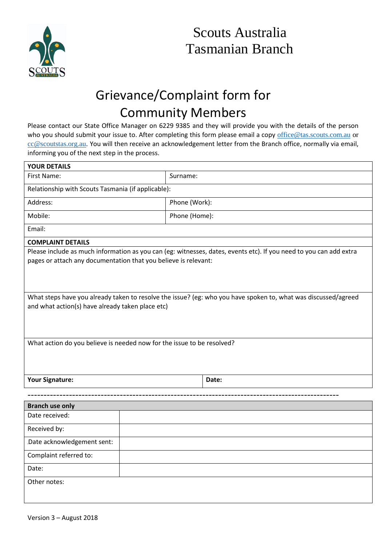

## Grievance/Complaint form for Community Members

Please contact our State Office Manager on 6229 9385 and they will provide you with the details of the person who you should submit your issue to. After completing this form please email a copy [office@tas.scouts.com.au](mailto:office@tas.scouts.com.au) or [cc@scoutstas.org.au.](mailto:cc@scoutstas.org.au) You will then receive an acknowledgement letter from the Branch office, normally via email, informing you of the next step in the process.

| <b>YOUR DETAILS</b>                                                                                                |               |
|--------------------------------------------------------------------------------------------------------------------|---------------|
| First Name:                                                                                                        | Surname:      |
| Relationship with Scouts Tasmania (if applicable):                                                                 |               |
| Address:                                                                                                           | Phone (Work): |
| Mobile:                                                                                                            | Phone (Home): |
| Email:                                                                                                             |               |
| <b>COMPLAINT DETAILS</b>                                                                                           |               |
| Please include as much information as you can (eg: witnesses, dates, events etc). If you need to you can add extra |               |
| pages or attach any documentation that you believe is relevant:                                                    |               |
|                                                                                                                    |               |
|                                                                                                                    |               |
|                                                                                                                    |               |
| What steps have you already taken to resolve the issue? (eg: who you have spoken to, what was discussed/agreed     |               |
| and what action(s) have already taken place etc)                                                                   |               |
|                                                                                                                    |               |
|                                                                                                                    |               |
|                                                                                                                    |               |
| What action do you believe is needed now for the issue to be resolved?                                             |               |
|                                                                                                                    |               |
|                                                                                                                    |               |
| <b>Your Signature:</b>                                                                                             | Date:         |
|                                                                                                                    |               |
| <b>Branch use only</b>                                                                                             |               |
| Date received:                                                                                                     |               |
| Received by:                                                                                                       |               |
| Date acknowledgement sent:                                                                                         |               |
| Complaint referred to:                                                                                             |               |
| Date:                                                                                                              |               |
| Other notes:                                                                                                       |               |
|                                                                                                                    |               |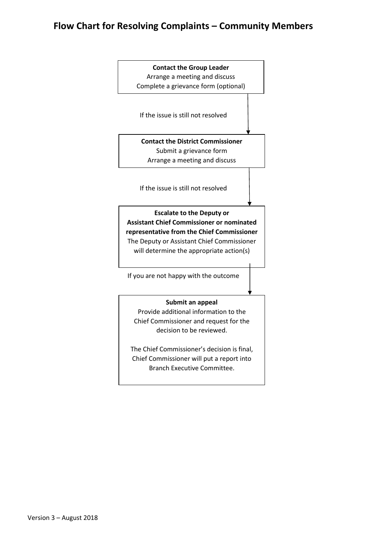## **Flow Chart for Resolving Complaints – Community Members**